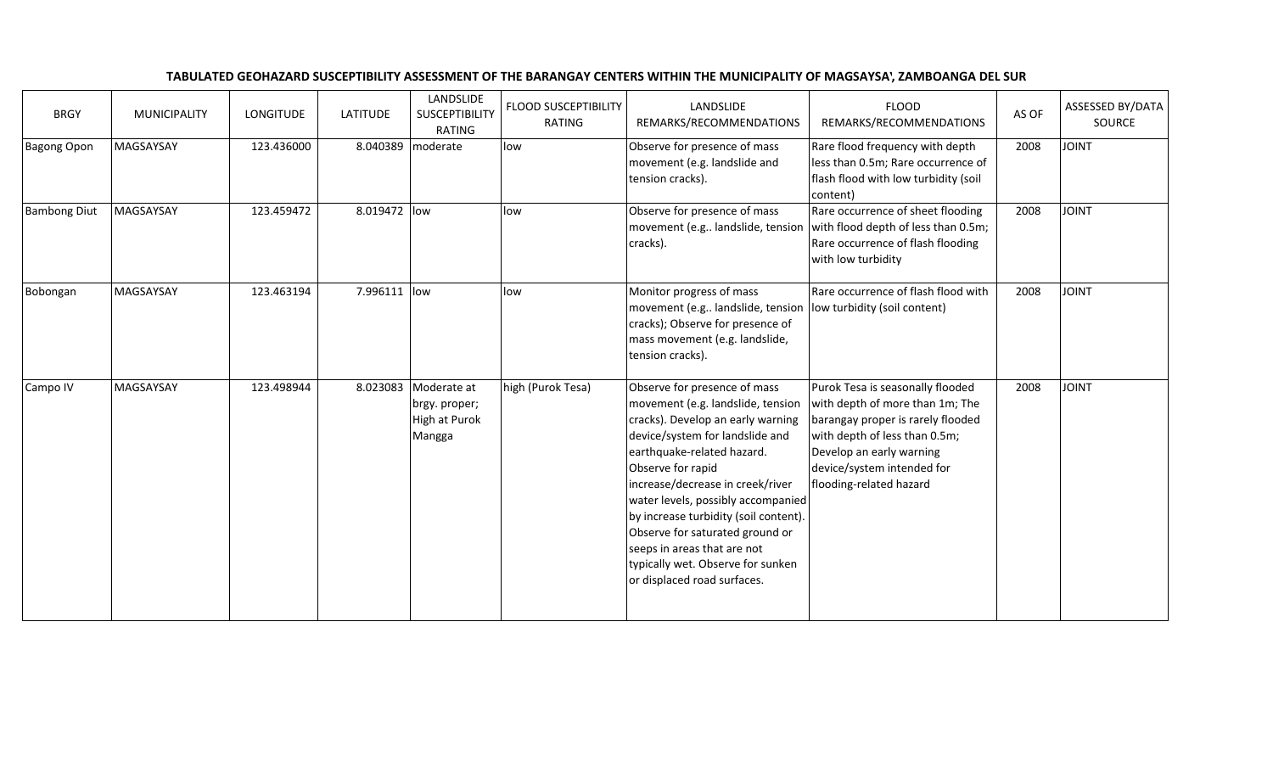|  | TABULATED GEOHAZARD SUSCEPTIBILITY ASSESSMENT OF THE BARANGAY CENTERS WITHIN THE MUNICIPALITY OF MAGSAYSA'. ZAMBOANGA DEL SUR |  |
|--|-------------------------------------------------------------------------------------------------------------------------------|--|
|--|-------------------------------------------------------------------------------------------------------------------------------|--|

| <b>BRGY</b>         | <b>MUNICIPALITY</b> | LONGITUDE  | <b>LATITUDE</b> | LANDSLIDE<br><b>SUSCEPTIBILITY</b><br>RATING            | <b>FLOOD SUSCEPTIBILITY</b><br>RATING | LANDSLIDE<br>REMARKS/RECOMMENDATIONS                                                                                                                                                                                                                                                                                                                                                                                                                  | <b>FLOOD</b><br>REMARKS/RECOMMENDATIONS                                                                                                                                                                                        | AS OF | <b>ASSESSED BY/DATA</b><br>SOURCE |
|---------------------|---------------------|------------|-----------------|---------------------------------------------------------|---------------------------------------|-------------------------------------------------------------------------------------------------------------------------------------------------------------------------------------------------------------------------------------------------------------------------------------------------------------------------------------------------------------------------------------------------------------------------------------------------------|--------------------------------------------------------------------------------------------------------------------------------------------------------------------------------------------------------------------------------|-------|-----------------------------------|
| <b>Bagong Opon</b>  | MAGSAYSAY           | 123.436000 | 8.040389        | moderate                                                | low                                   | Observe for presence of mass<br>movement (e.g. landslide and<br>tension cracks).                                                                                                                                                                                                                                                                                                                                                                      | Rare flood frequency with depth<br>less than 0.5m; Rare occurrence of<br>flash flood with low turbidity (soil<br>content)                                                                                                      | 2008  | <b>JOINT</b>                      |
| <b>Bambong Diut</b> | MAGSAYSAY           | 123.459472 | 8.019472 low    |                                                         | low                                   | Observe for presence of mass<br>movement (e.g landslide, tension<br>cracks).                                                                                                                                                                                                                                                                                                                                                                          | Rare occurrence of sheet flooding<br>with flood depth of less than 0.5m;<br>Rare occurrence of flash flooding<br>with low turbidity                                                                                            | 2008  | <b>JOINT</b>                      |
| Bobongan            | MAGSAYSAY           | 123.463194 | 7.996111        | low                                                     | low                                   | Monitor progress of mass<br>movement (e.g landslide, tension<br>cracks); Observe for presence of<br>mass movement (e.g. landslide,<br>tension cracks).                                                                                                                                                                                                                                                                                                | Rare occurrence of flash flood with<br>low turbidity (soil content)                                                                                                                                                            | 2008  | <b>JOINT</b>                      |
| Campo IV            | MAGSAYSAY           | 123.498944 | 8.023083        | Moderate at<br>brgy. proper;<br>High at Purok<br>Mangga | high (Purok Tesa)                     | Observe for presence of mass<br>movement (e.g. landslide, tension<br>cracks). Develop an early warning<br>device/system for landslide and<br>earthquake-related hazard.<br>Observe for rapid<br>increase/decrease in creek/river<br>water levels, possibly accompanied<br>by increase turbidity (soil content).<br>Observe for saturated ground or<br>seeps in areas that are not<br>typically wet. Observe for sunken<br>or displaced road surfaces. | Purok Tesa is seasonally flooded<br>with depth of more than 1m; The<br>barangay proper is rarely flooded<br>with depth of less than 0.5m;<br>Develop an early warning<br>device/system intended for<br>flooding-related hazard | 2008  | <b>JOINT</b>                      |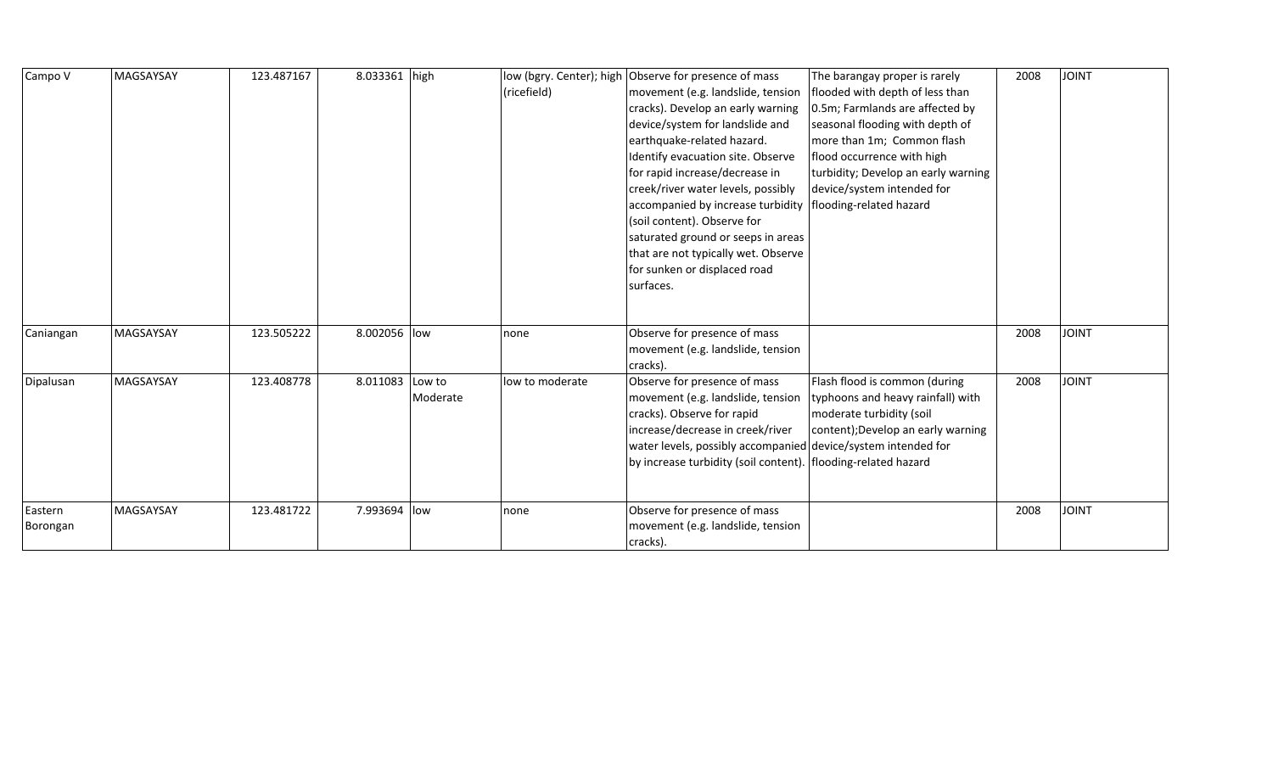| Campo V             | MAGSAYSAY | 123.487167 | 8.033361 high   |          | (ricefield)     | low (bgry. Center); high Observe for presence of mass<br>movement (e.g. landslide, tension<br>cracks). Develop an early warning<br>device/system for landslide and<br>earthquake-related hazard.<br>Identify evacuation site. Observe<br>for rapid increase/decrease in<br>creek/river water levels, possibly<br>accompanied by increase turbidity<br>(soil content). Observe for<br>saturated ground or seeps in areas<br>that are not typically wet. Observe<br>for sunken or displaced road<br>surfaces. | The barangay proper is rarely<br>flooded with depth of less than<br>0.5m; Farmlands are affected by<br>seasonal flooding with depth of<br>more than 1m; Common flash<br>flood occurrence with high<br>turbidity; Develop an early warning<br>device/system intended for<br>flooding-related hazard | 2008 | <b>JOINT</b> |
|---------------------|-----------|------------|-----------------|----------|-----------------|-------------------------------------------------------------------------------------------------------------------------------------------------------------------------------------------------------------------------------------------------------------------------------------------------------------------------------------------------------------------------------------------------------------------------------------------------------------------------------------------------------------|----------------------------------------------------------------------------------------------------------------------------------------------------------------------------------------------------------------------------------------------------------------------------------------------------|------|--------------|
| Caniangan           | MAGSAYSAY | 123.505222 | 8.002056 low    |          | none            | Observe for presence of mass<br>movement (e.g. landslide, tension<br>cracks).                                                                                                                                                                                                                                                                                                                                                                                                                               |                                                                                                                                                                                                                                                                                                    | 2008 | <b>JOINT</b> |
| Dipalusan           | MAGSAYSAY | 123.408778 | 8.011083 Low to | Moderate | low to moderate | Observe for presence of mass<br>movement (e.g. landslide, tension<br>cracks). Observe for rapid<br>increase/decrease in creek/river<br>water levels, possibly accompanied device/system intended for<br>by increase turbidity (soil content).   flooding-related hazard                                                                                                                                                                                                                                     | Flash flood is common (during<br>typhoons and heavy rainfall) with<br>moderate turbidity (soil<br>content); Develop an early warning                                                                                                                                                               | 2008 | <b>JOINT</b> |
| Eastern<br>Borongan | MAGSAYSAY | 123.481722 | 7.993694 low    |          | none            | Observe for presence of mass<br>movement (e.g. landslide, tension<br>cracks).                                                                                                                                                                                                                                                                                                                                                                                                                               |                                                                                                                                                                                                                                                                                                    | 2008 | <b>JOINT</b> |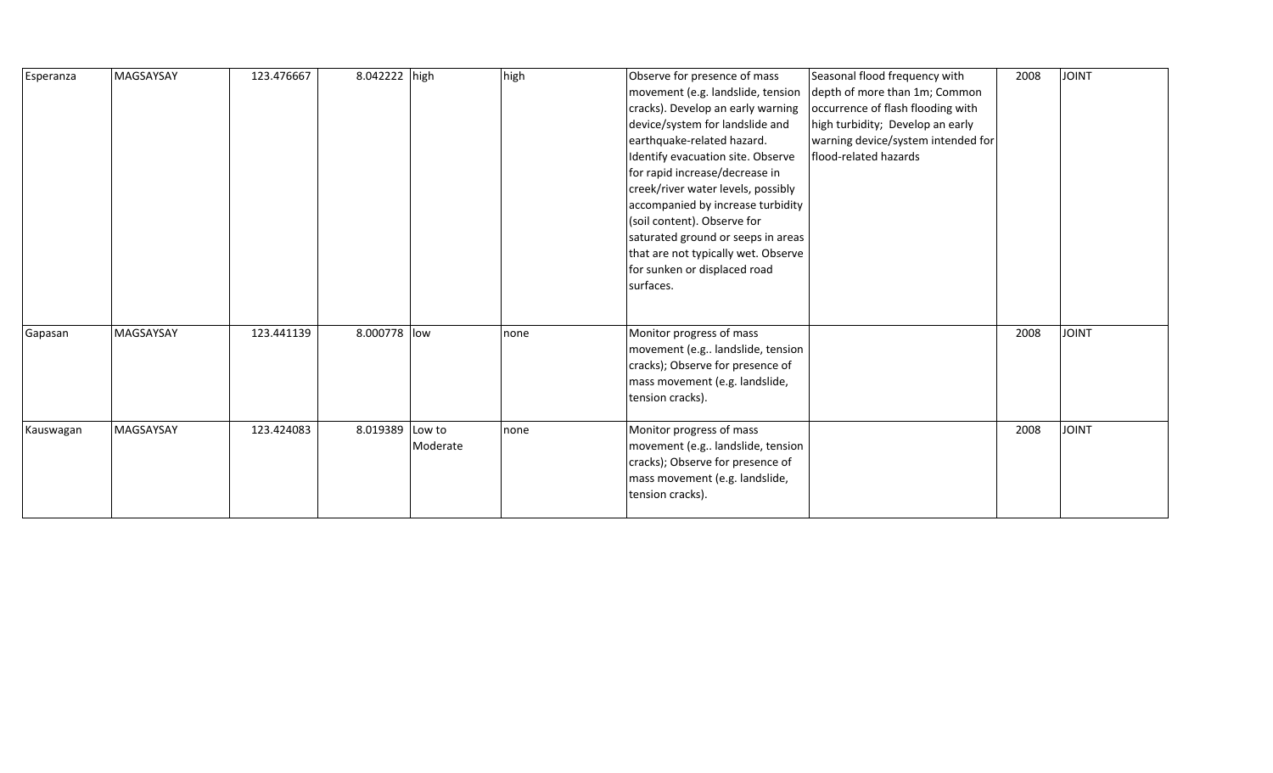| Esperanza | MAGSAYSAY | 123.476667 | 8.042222 high |                    | high | Observe for presence of mass<br>movement (e.g. landslide, tension<br>cracks). Develop an early warning<br>device/system for landslide and<br>earthquake-related hazard.<br>Identify evacuation site. Observe<br>for rapid increase/decrease in<br>creek/river water levels, possibly<br>accompanied by increase turbidity<br>(soil content). Observe for<br>saturated ground or seeps in areas<br>that are not typically wet. Observe<br>for sunken or displaced road<br>surfaces. | Seasonal flood frequency with<br>depth of more than 1m; Common<br>occurrence of flash flooding with<br>high turbidity; Develop an early<br>warning device/system intended for<br>flood-related hazards | 2008 | <b>JOINT</b> |
|-----------|-----------|------------|---------------|--------------------|------|------------------------------------------------------------------------------------------------------------------------------------------------------------------------------------------------------------------------------------------------------------------------------------------------------------------------------------------------------------------------------------------------------------------------------------------------------------------------------------|--------------------------------------------------------------------------------------------------------------------------------------------------------------------------------------------------------|------|--------------|
| Gapasan   | MAGSAYSAY | 123.441139 | 8.000778 low  |                    | none | Monitor progress of mass<br>movement (e.g landslide, tension<br>cracks); Observe for presence of<br>mass movement (e.g. landslide,<br>tension cracks).                                                                                                                                                                                                                                                                                                                             |                                                                                                                                                                                                        | 2008 | <b>JOINT</b> |
| Kauswagan | MAGSAYSAY | 123.424083 | 8.019389      | Low to<br>Moderate | none | Monitor progress of mass<br>movement (e.g landslide, tension<br>cracks); Observe for presence of<br>mass movement (e.g. landslide,<br>tension cracks).                                                                                                                                                                                                                                                                                                                             |                                                                                                                                                                                                        | 2008 | <b>JOINT</b> |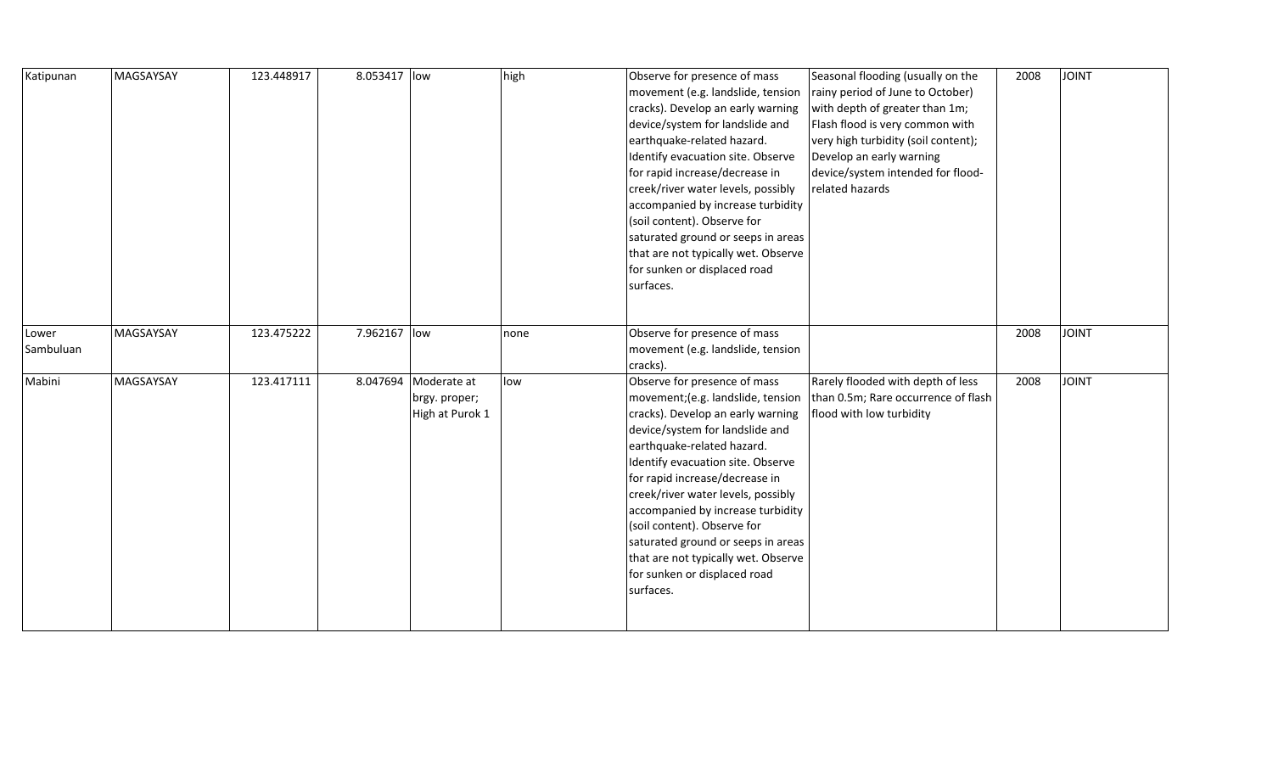| Katipunan          | MAGSAYSAY | 123.448917 | 8.053417 low |                                                          | high | Observe for presence of mass<br>movement (e.g. landslide, tension<br>cracks). Develop an early warning<br>device/system for landslide and<br>earthquake-related hazard.<br>Identify evacuation site. Observe<br>for rapid increase/decrease in<br>creek/river water levels, possibly<br>accompanied by increase turbidity<br>(soil content). Observe for<br>saturated ground or seeps in areas<br>that are not typically wet. Observe<br>for sunken or displaced road<br>surfaces.  | Seasonal flooding (usually on the<br>rainy period of June to October)<br>with depth of greater than 1m;<br>Flash flood is very common with<br>very high turbidity (soil content);<br>Develop an early warning<br>device/system intended for flood-<br>related hazards | 2008 | <b>JOINT</b> |
|--------------------|-----------|------------|--------------|----------------------------------------------------------|------|-------------------------------------------------------------------------------------------------------------------------------------------------------------------------------------------------------------------------------------------------------------------------------------------------------------------------------------------------------------------------------------------------------------------------------------------------------------------------------------|-----------------------------------------------------------------------------------------------------------------------------------------------------------------------------------------------------------------------------------------------------------------------|------|--------------|
| Lower<br>Sambuluan | MAGSAYSAY | 123.475222 | 7.962167 low |                                                          | none | Observe for presence of mass<br>movement (e.g. landslide, tension<br>cracks).                                                                                                                                                                                                                                                                                                                                                                                                       |                                                                                                                                                                                                                                                                       | 2008 | <b>JOINT</b> |
| Mabini             | MAGSAYSAY | 123.417111 |              | 8.047694 Moderate at<br>brgy. proper;<br>High at Purok 1 | low  | Observe for presence of mass<br>movement; (e.g. landslide, tension<br>cracks). Develop an early warning<br>device/system for landslide and<br>earthquake-related hazard.<br>Identify evacuation site. Observe<br>for rapid increase/decrease in<br>creek/river water levels, possibly<br>accompanied by increase turbidity<br>(soil content). Observe for<br>saturated ground or seeps in areas<br>that are not typically wet. Observe<br>for sunken or displaced road<br>surfaces. | Rarely flooded with depth of less<br>than 0.5m; Rare occurrence of flash<br>flood with low turbidity                                                                                                                                                                  | 2008 | <b>JOINT</b> |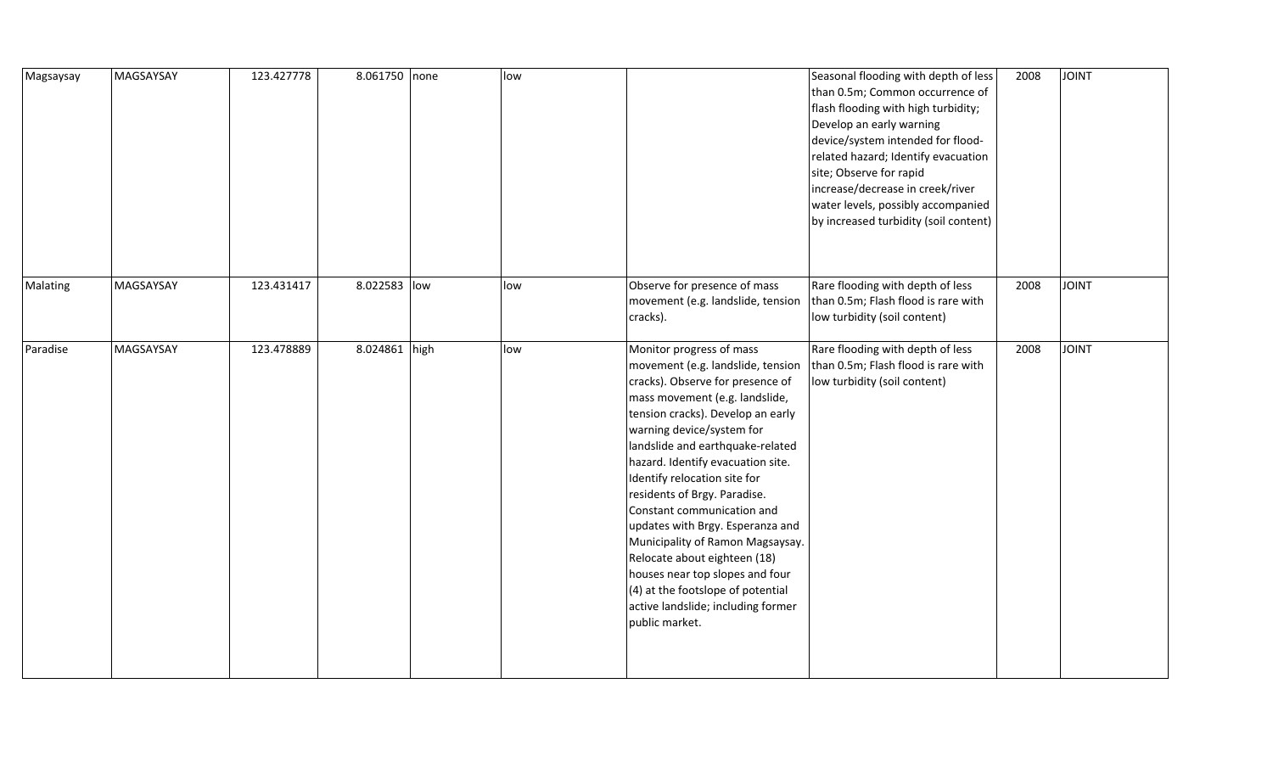| Magsaysay | MAGSAYSAY | 123.427778 | 8.061750 none | low |                                                                                                                                                                                                                                                                                                                                                                                                                                                                                                                                                                                                                      | Seasonal flooding with depth of less<br>than 0.5m; Common occurrence of<br>flash flooding with high turbidity;<br>Develop an early warning<br>device/system intended for flood-<br>related hazard; Identify evacuation<br>site; Observe for rapid<br>increase/decrease in creek/river<br>water levels, possibly accompanied<br>by increased turbidity (soil content) | 2008 | <b>JOINT</b> |
|-----------|-----------|------------|---------------|-----|----------------------------------------------------------------------------------------------------------------------------------------------------------------------------------------------------------------------------------------------------------------------------------------------------------------------------------------------------------------------------------------------------------------------------------------------------------------------------------------------------------------------------------------------------------------------------------------------------------------------|----------------------------------------------------------------------------------------------------------------------------------------------------------------------------------------------------------------------------------------------------------------------------------------------------------------------------------------------------------------------|------|--------------|
| Malating  | MAGSAYSAY | 123.431417 | 8.022583 low  | low | Observe for presence of mass<br>movement (e.g. landslide, tension<br>cracks).                                                                                                                                                                                                                                                                                                                                                                                                                                                                                                                                        | Rare flooding with depth of less<br>than 0.5m; Flash flood is rare with<br>low turbidity (soil content)                                                                                                                                                                                                                                                              | 2008 | <b>JOINT</b> |
| Paradise  | MAGSAYSAY | 123.478889 | 8.024861 high | low | Monitor progress of mass<br>movement (e.g. landslide, tension<br>cracks). Observe for presence of<br>mass movement (e.g. landslide,<br>tension cracks). Develop an early<br>warning device/system for<br>landslide and earthquake-related<br>hazard. Identify evacuation site.<br>Identify relocation site for<br>residents of Brgy. Paradise.<br>Constant communication and<br>updates with Brgy. Esperanza and<br>Municipality of Ramon Magsaysay.<br>Relocate about eighteen (18)<br>houses near top slopes and four<br>(4) at the footslope of potential<br>active landslide; including former<br>public market. | Rare flooding with depth of less<br>than 0.5m; Flash flood is rare with<br>low turbidity (soil content)                                                                                                                                                                                                                                                              | 2008 | <b>JOINT</b> |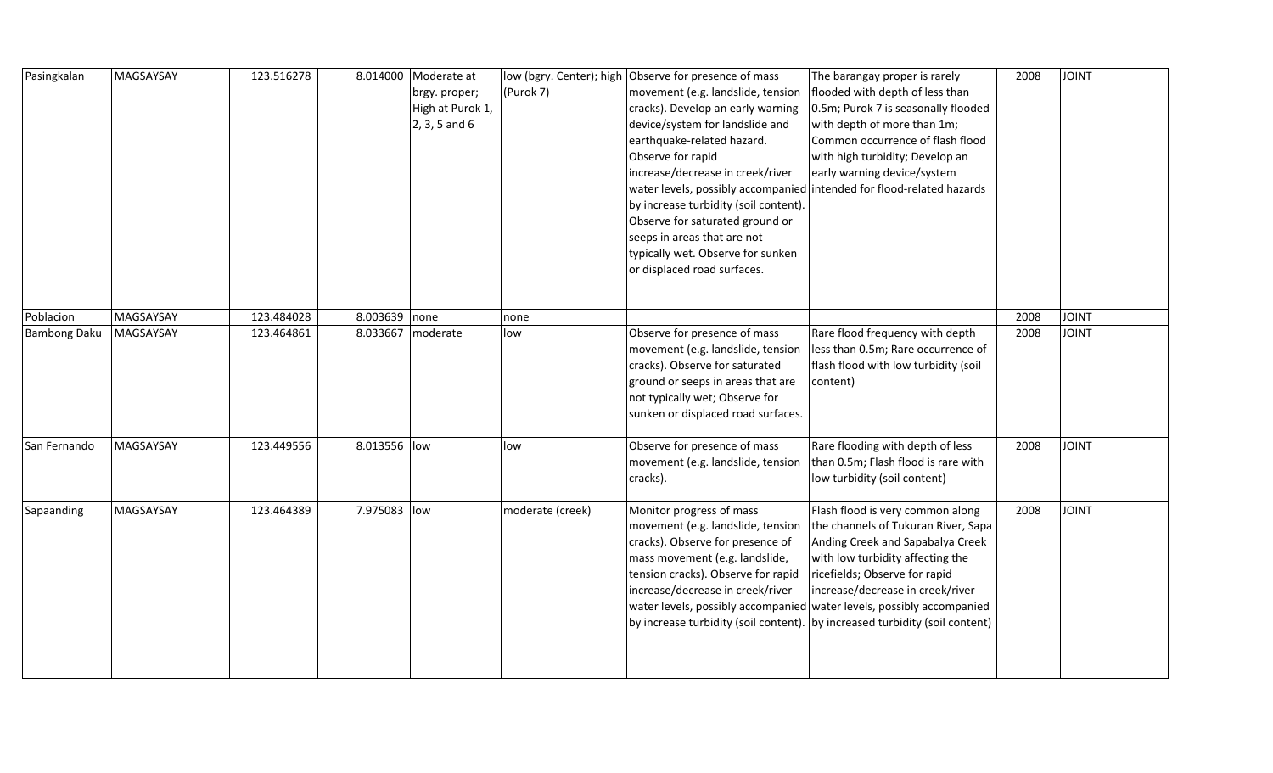| Pasingkalan         | MAGSAYSAY | 123.516278 |               | 8.014000 Moderate at<br>brgy. proper;<br>High at Purok 1,<br>$2, 3, 5$ and 6 | (Purok 7)        | low (bgry. Center); high Observe for presence of mass<br>movement (e.g. landslide, tension<br>cracks). Develop an early warning<br>device/system for landslide and<br>earthquake-related hazard.<br>Observe for rapid<br>increase/decrease in creek/river<br>by increase turbidity (soil content).<br>Observe for saturated ground or<br>seeps in areas that are not<br>typically wet. Observe for sunken<br>or displaced road surfaces. | The barangay proper is rarely<br>flooded with depth of less than<br>0.5m; Purok 7 is seasonally flooded<br>with depth of more than 1m;<br>Common occurrence of flash flood<br>with high turbidity; Develop an<br>early warning device/system<br>water levels, possibly accompanied intended for flood-related hazards | 2008 | <b>JOINT</b>  |
|---------------------|-----------|------------|---------------|------------------------------------------------------------------------------|------------------|------------------------------------------------------------------------------------------------------------------------------------------------------------------------------------------------------------------------------------------------------------------------------------------------------------------------------------------------------------------------------------------------------------------------------------------|-----------------------------------------------------------------------------------------------------------------------------------------------------------------------------------------------------------------------------------------------------------------------------------------------------------------------|------|---------------|
| Poblacion           | MAGSAYSAY | 123.484028 | 8.003639 none |                                                                              | none             |                                                                                                                                                                                                                                                                                                                                                                                                                                          |                                                                                                                                                                                                                                                                                                                       | 2008 | <b>JOINT</b>  |
| <b>Bambong Daku</b> | MAGSAYSAY | 123.464861 |               | 8.033667   moderate                                                          | low              | Observe for presence of mass<br>movement (e.g. landslide, tension<br>cracks). Observe for saturated<br>ground or seeps in areas that are<br>not typically wet; Observe for<br>sunken or displaced road surfaces.                                                                                                                                                                                                                         | Rare flood frequency with depth<br>less than 0.5m; Rare occurrence of<br>flash flood with low turbidity (soil<br>content)                                                                                                                                                                                             | 2008 | <b>JOINT</b>  |
| San Fernando        | MAGSAYSAY | 123.449556 | 8.013556 low  |                                                                              | low              | Observe for presence of mass<br>movement (e.g. landslide, tension<br>cracks).                                                                                                                                                                                                                                                                                                                                                            | Rare flooding with depth of less<br>than 0.5m; Flash flood is rare with<br>low turbidity (soil content)                                                                                                                                                                                                               | 2008 | <b>TINIOL</b> |
| Sapaanding          | MAGSAYSAY | 123.464389 | 7.975083 low  |                                                                              | moderate (creek) | Monitor progress of mass<br>movement (e.g. landslide, tension<br>cracks). Observe for presence of<br>mass movement (e.g. landslide,<br>tension cracks). Observe for rapid<br>increase/decrease in creek/river<br>water levels, possibly accompanied<br>by increase turbidity (soil content).                                                                                                                                             | Flash flood is very common along<br>the channels of Tukuran River, Sapa<br>Anding Creek and Sapabalya Creek<br>with low turbidity affecting the<br>ricefields; Observe for rapid<br>increase/decrease in creek/river<br>water levels, possibly accompanied<br>by increased turbidity (soil content)                   | 2008 | <b>JOINT</b>  |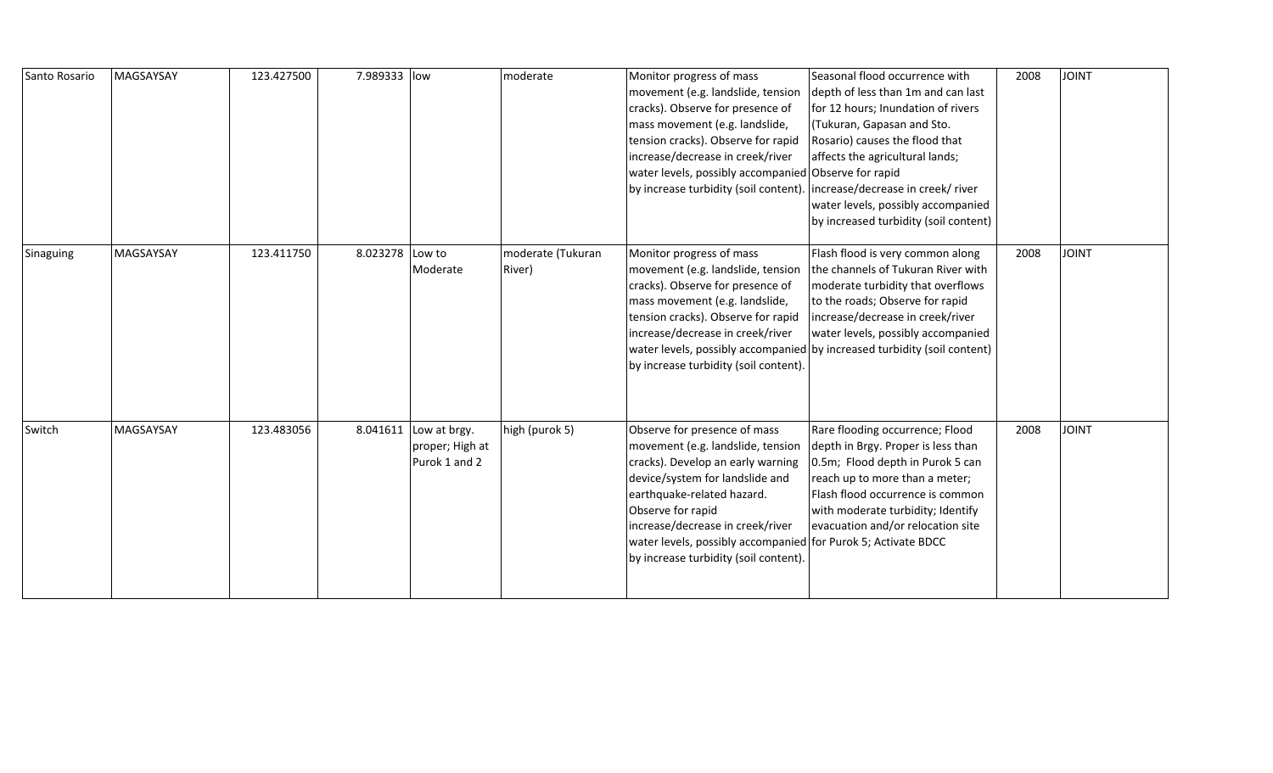| Santo Rosario | MAGSAYSAY | 123.427500 | 7.989333 low    |                                                           | moderate                    | Monitor progress of mass<br>movement (e.g. landslide, tension<br>cracks). Observe for presence of<br>mass movement (e.g. landslide,<br>tension cracks). Observe for rapid<br>increase/decrease in creek/river<br>water levels, possibly accompanied Observe for rapid<br>by increase turbidity (soil content).                             | Seasonal flood occurrence with<br>depth of less than 1m and can last<br>for 12 hours; Inundation of rivers<br>(Tukuran, Gapasan and Sto.<br>Rosario) causes the flood that<br>affects the agricultural lands;<br>increase/decrease in creek/ river<br>water levels, possibly accompanied<br>by increased turbidity (soil content) | 2008 | <b>JOINT</b> |
|---------------|-----------|------------|-----------------|-----------------------------------------------------------|-----------------------------|--------------------------------------------------------------------------------------------------------------------------------------------------------------------------------------------------------------------------------------------------------------------------------------------------------------------------------------------|-----------------------------------------------------------------------------------------------------------------------------------------------------------------------------------------------------------------------------------------------------------------------------------------------------------------------------------|------|--------------|
| Sinaguing     | MAGSAYSAY | 123.411750 | 8.023278 Low to | Moderate                                                  | moderate (Tukuran<br>River) | Monitor progress of mass<br>movement (e.g. landslide, tension<br>cracks). Observe for presence of<br>mass movement (e.g. landslide,<br>tension cracks). Observe for rapid<br>increase/decrease in creek/river<br>by increase turbidity (soil content).                                                                                     | Flash flood is very common along<br>the channels of Tukuran River with<br>moderate turbidity that overflows<br>to the roads; Observe for rapid<br>increase/decrease in creek/river<br>water levels, possibly accompanied<br>water levels, possibly accompanied by increased turbidity (soil content)                              | 2008 | <b>JOINT</b> |
| Switch        | MAGSAYSAY | 123.483056 |                 | 8.041611 Low at brgy.<br>proper; High at<br>Purok 1 and 2 | high (purok 5)              | Observe for presence of mass<br>movement (e.g. landslide, tension<br>cracks). Develop an early warning<br>device/system for landslide and<br>earthquake-related hazard.<br>Observe for rapid<br>increase/decrease in creek/river<br>water levels, possibly accompanied for Purok 5; Activate BDCC<br>by increase turbidity (soil content). | Rare flooding occurrence; Flood<br>depth in Brgy. Proper is less than<br>0.5m; Flood depth in Purok 5 can<br>reach up to more than a meter;<br>Flash flood occurrence is common<br>with moderate turbidity; Identify<br>evacuation and/or relocation site                                                                         | 2008 | <b>JOINT</b> |